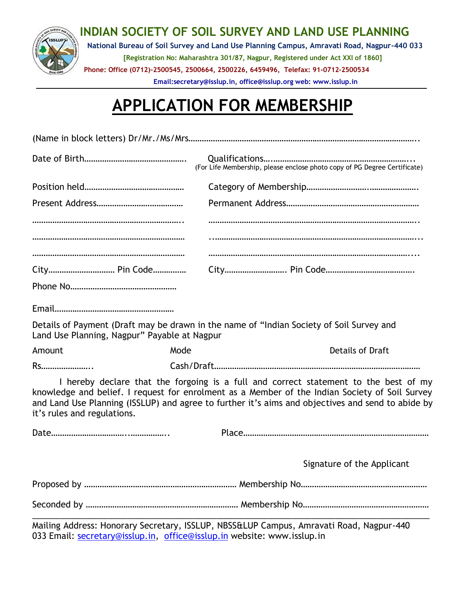

## **INDIAN SOCIETY OF SOIL SURVEY AND LAND USE PLANNING**

**National Bureau of Soil Survey and Land Use Planning Campus, Amravati Road, Nagpur-440 033 [Registration No: Maharashtra 301/87, Nagpur, Registered under Act XXI of 1860] Phone: Office (0712)-2500545, 2500664, 2500226, 6459496, Telefax: 91-0712-2500534** 

**Email:secretary@isslup.in, office@isslup.org web: www.isslup.in**

## **APPLICATION FOR MEMBERSHIP**

|                             |                                              |  | (For Life Membership, please enclose photo copy of PG Degree Certificate)                                                                                                                                                                                                                   |  |  |  |  |  |  |  |
|-----------------------------|----------------------------------------------|--|---------------------------------------------------------------------------------------------------------------------------------------------------------------------------------------------------------------------------------------------------------------------------------------------|--|--|--|--|--|--|--|
|                             |                                              |  |                                                                                                                                                                                                                                                                                             |  |  |  |  |  |  |  |
|                             |                                              |  |                                                                                                                                                                                                                                                                                             |  |  |  |  |  |  |  |
|                             |                                              |  |                                                                                                                                                                                                                                                                                             |  |  |  |  |  |  |  |
|                             |                                              |  |                                                                                                                                                                                                                                                                                             |  |  |  |  |  |  |  |
|                             | City Pin Code                                |  |                                                                                                                                                                                                                                                                                             |  |  |  |  |  |  |  |
|                             |                                              |  |                                                                                                                                                                                                                                                                                             |  |  |  |  |  |  |  |
|                             |                                              |  |                                                                                                                                                                                                                                                                                             |  |  |  |  |  |  |  |
|                             | Land Use Planning, Nagpur" Payable at Nagpur |  | Details of Payment (Draft may be drawn in the name of "Indian Society of Soil Survey and                                                                                                                                                                                                    |  |  |  |  |  |  |  |
| Amount                      | Mode                                         |  | <b>Details of Draft</b>                                                                                                                                                                                                                                                                     |  |  |  |  |  |  |  |
| Rs                          |                                              |  |                                                                                                                                                                                                                                                                                             |  |  |  |  |  |  |  |
| it's rules and regulations. |                                              |  | I hereby declare that the forgoing is a full and correct statement to the best of my<br>knowledge and belief. I request for enrolment as a Member of the Indian Society of Soil Survey<br>and Land Use Planning (ISSLUP) and agree to further it's aims and objectives and send to abide by |  |  |  |  |  |  |  |
|                             |                                              |  |                                                                                                                                                                                                                                                                                             |  |  |  |  |  |  |  |
|                             |                                              |  | Signature of the Applicant                                                                                                                                                                                                                                                                  |  |  |  |  |  |  |  |
|                             |                                              |  |                                                                                                                                                                                                                                                                                             |  |  |  |  |  |  |  |
|                             |                                              |  |                                                                                                                                                                                                                                                                                             |  |  |  |  |  |  |  |
|                             |                                              |  | Holling Address Hopenes Constant ICLUD, NBCC-UD, Consumed Dond Namur 440                                                                                                                                                                                                                    |  |  |  |  |  |  |  |

Mailing Address: Honorary Secretary, ISSLUP, NBSS&LUP Campus, Amravati Road, Nagpur-440 033 Email: [secretary@isslup.in,](mailto:secretary@isslup.in) [office@isslup.in](mailto:office@isslup.in) website: www.isslup.in